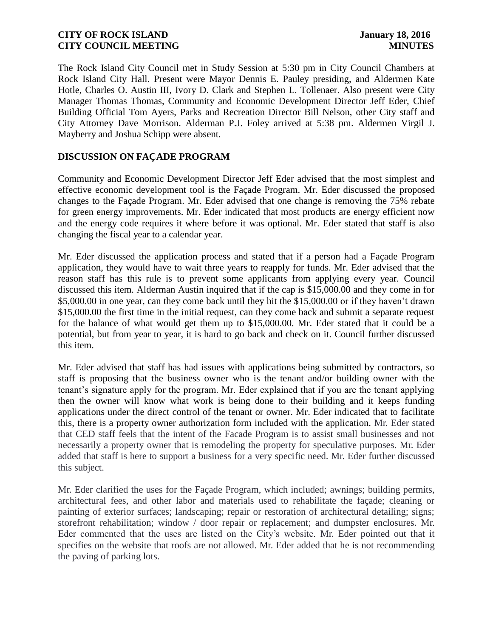The Rock Island City Council met in Study Session at 5:30 pm in City Council Chambers at Rock Island City Hall. Present were Mayor Dennis E. Pauley presiding, and Aldermen Kate Hotle, Charles O. Austin III, Ivory D. Clark and Stephen L. Tollenaer. Also present were City Manager Thomas Thomas, Community and Economic Development Director Jeff Eder, Chief Building Official Tom Ayers, Parks and Recreation Director Bill Nelson, other City staff and City Attorney Dave Morrison. Alderman P.J. Foley arrived at 5:38 pm. Aldermen Virgil J. Mayberry and Joshua Schipp were absent.

# **DISCUSSION ON FAÇADE PROGRAM**

Community and Economic Development Director Jeff Eder advised that the most simplest and effective economic development tool is the Façade Program. Mr. Eder discussed the proposed changes to the Façade Program. Mr. Eder advised that one change is removing the 75% rebate for green energy improvements. Mr. Eder indicated that most products are energy efficient now and the energy code requires it where before it was optional. Mr. Eder stated that staff is also changing the fiscal year to a calendar year.

Mr. Eder discussed the application process and stated that if a person had a Façade Program application, they would have to wait three years to reapply for funds. Mr. Eder advised that the reason staff has this rule is to prevent some applicants from applying every year. Council discussed this item. Alderman Austin inquired that if the cap is \$15,000.00 and they come in for \$5,000.00 in one year, can they come back until they hit the \$15,000.00 or if they haven't drawn \$15,000.00 the first time in the initial request, can they come back and submit a separate request for the balance of what would get them up to \$15,000.00. Mr. Eder stated that it could be a potential, but from year to year, it is hard to go back and check on it. Council further discussed this item.

Mr. Eder advised that staff has had issues with applications being submitted by contractors, so staff is proposing that the business owner who is the tenant and/or building owner with the tenant's signature apply for the program. Mr. Eder explained that if you are the tenant applying then the owner will know what work is being done to their building and it keeps funding applications under the direct control of the tenant or owner. Mr. Eder indicated that to facilitate this, there is a property owner authorization form included with the application. Mr. Eder stated that CED staff feels that the intent of the Facade Program is to assist small businesses and not necessarily a property owner that is remodeling the property for speculative purposes. Mr. Eder added that staff is here to support a business for a very specific need. Mr. Eder further discussed this subject.

Mr. Eder clarified the uses for the Façade Program, which included; awnings; building permits, architectural fees, and other labor and materials used to rehabilitate the façade; cleaning or painting of exterior surfaces; landscaping; repair or restoration of architectural detailing; signs; storefront rehabilitation; window / door repair or replacement; and dumpster enclosures. Mr. Eder commented that the uses are listed on the City's website. Mr. Eder pointed out that it specifies on the website that roofs are not allowed. Mr. Eder added that he is not recommending the paving of parking lots.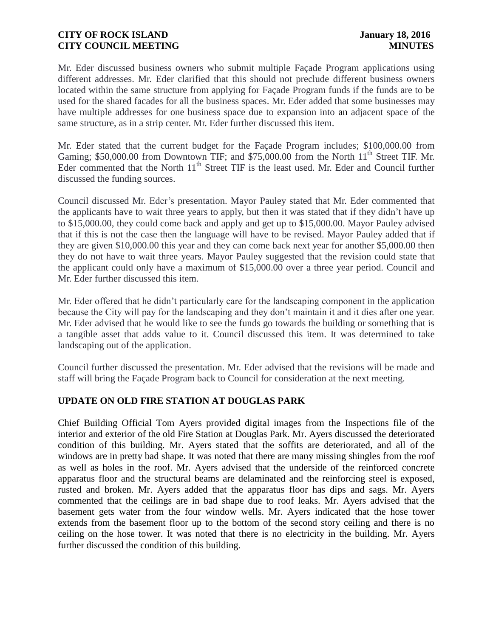Mr. Eder discussed business owners who submit multiple Façade Program applications using different addresses. Mr. Eder clarified that this should not preclude different business owners located within the same structure from applying for Façade Program funds if the funds are to be used for the shared facades for all the business spaces. Mr. Eder added that some businesses may have multiple addresses for one business space due to expansion into an adjacent space of the same structure, as in a strip center. Mr. Eder further discussed this item.

Mr. Eder stated that the current budget for the Façade Program includes; \$100,000.00 from Gaming; \$50,000.00 from Downtown TIF; and \$75,000.00 from the North  $11<sup>th</sup>$  Street TIF. Mr. Eder commented that the North  $11<sup>th</sup>$  Street TIF is the least used. Mr. Eder and Council further discussed the funding sources.

Council discussed Mr. Eder's presentation. Mayor Pauley stated that Mr. Eder commented that the applicants have to wait three years to apply, but then it was stated that if they didn't have up to \$15,000.00, they could come back and apply and get up to \$15,000.00. Mayor Pauley advised that if this is not the case then the language will have to be revised. Mayor Pauley added that if they are given \$10,000.00 this year and they can come back next year for another \$5,000.00 then they do not have to wait three years. Mayor Pauley suggested that the revision could state that the applicant could only have a maximum of \$15,000.00 over a three year period. Council and Mr. Eder further discussed this item.

Mr. Eder offered that he didn't particularly care for the landscaping component in the application because the City will pay for the landscaping and they don't maintain it and it dies after one year. Mr. Eder advised that he would like to see the funds go towards the building or something that is a tangible asset that adds value to it. Council discussed this item. It was determined to take landscaping out of the application.

Council further discussed the presentation. Mr. Eder advised that the revisions will be made and staff will bring the Façade Program back to Council for consideration at the next meeting.

# **UPDATE ON OLD FIRE STATION AT DOUGLAS PARK**

Chief Building Official Tom Ayers provided digital images from the Inspections file of the interior and exterior of the old Fire Station at Douglas Park. Mr. Ayers discussed the deteriorated condition of this building. Mr. Ayers stated that the soffits are deteriorated, and all of the windows are in pretty bad shape. It was noted that there are many missing shingles from the roof as well as holes in the roof. Mr. Ayers advised that the underside of the reinforced concrete apparatus floor and the structural beams are delaminated and the reinforcing steel is exposed, rusted and broken. Mr. Ayers added that the apparatus floor has dips and sags. Mr. Ayers commented that the ceilings are in bad shape due to roof leaks. Mr. Ayers advised that the basement gets water from the four window wells. Mr. Ayers indicated that the hose tower extends from the basement floor up to the bottom of the second story ceiling and there is no ceiling on the hose tower. It was noted that there is no electricity in the building. Mr. Ayers further discussed the condition of this building.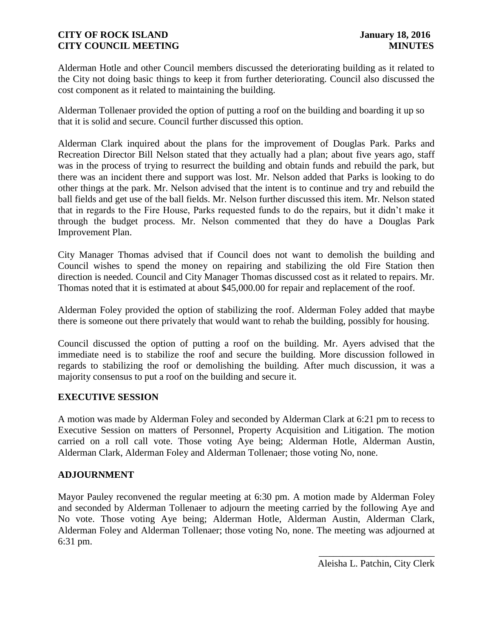Alderman Hotle and other Council members discussed the deteriorating building as it related to the City not doing basic things to keep it from further deteriorating. Council also discussed the cost component as it related to maintaining the building.

Alderman Tollenaer provided the option of putting a roof on the building and boarding it up so that it is solid and secure. Council further discussed this option.

Alderman Clark inquired about the plans for the improvement of Douglas Park. Parks and Recreation Director Bill Nelson stated that they actually had a plan; about five years ago, staff was in the process of trying to resurrect the building and obtain funds and rebuild the park, but there was an incident there and support was lost. Mr. Nelson added that Parks is looking to do other things at the park. Mr. Nelson advised that the intent is to continue and try and rebuild the ball fields and get use of the ball fields. Mr. Nelson further discussed this item. Mr. Nelson stated that in regards to the Fire House, Parks requested funds to do the repairs, but it didn't make it through the budget process. Mr. Nelson commented that they do have a Douglas Park Improvement Plan.

City Manager Thomas advised that if Council does not want to demolish the building and Council wishes to spend the money on repairing and stabilizing the old Fire Station then direction is needed. Council and City Manager Thomas discussed cost as it related to repairs. Mr. Thomas noted that it is estimated at about \$45,000.00 for repair and replacement of the roof.

Alderman Foley provided the option of stabilizing the roof. Alderman Foley added that maybe there is someone out there privately that would want to rehab the building, possibly for housing.

Council discussed the option of putting a roof on the building. Mr. Ayers advised that the immediate need is to stabilize the roof and secure the building. More discussion followed in regards to stabilizing the roof or demolishing the building. After much discussion, it was a majority consensus to put a roof on the building and secure it.

## **EXECUTIVE SESSION**

A motion was made by Alderman Foley and seconded by Alderman Clark at 6:21 pm to recess to Executive Session on matters of Personnel, Property Acquisition and Litigation. The motion carried on a roll call vote. Those voting Aye being; Alderman Hotle, Alderman Austin, Alderman Clark, Alderman Foley and Alderman Tollenaer; those voting No, none.

### **ADJOURNMENT**

Mayor Pauley reconvened the regular meeting at 6:30 pm. A motion made by Alderman Foley and seconded by Alderman Tollenaer to adjourn the meeting carried by the following Aye and No vote. Those voting Aye being; Alderman Hotle, Alderman Austin, Alderman Clark, Alderman Foley and Alderman Tollenaer; those voting No, none. The meeting was adjourned at 6:31 pm.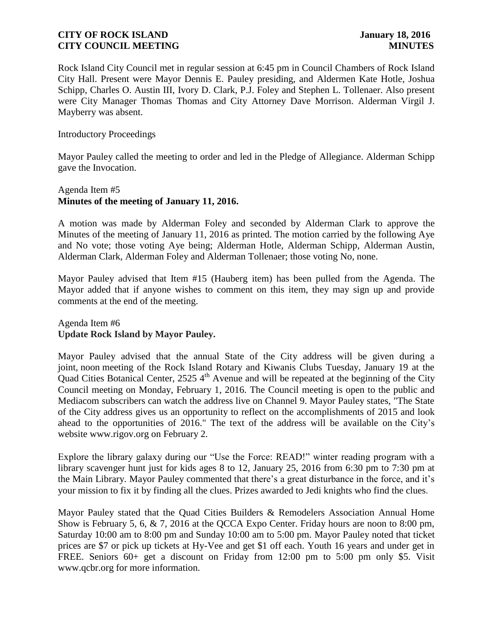Rock Island City Council met in regular session at 6:45 pm in Council Chambers of Rock Island City Hall. Present were Mayor Dennis E. Pauley presiding, and Aldermen Kate Hotle, Joshua Schipp, Charles O. Austin III, Ivory D. Clark, P.J. Foley and Stephen L. Tollenaer. Also present were City Manager Thomas Thomas and City Attorney Dave Morrison. Alderman Virgil J. Mayberry was absent.

Introductory Proceedings

Mayor Pauley called the meeting to order and led in the Pledge of Allegiance. Alderman Schipp gave the Invocation.

# Agenda Item #5 **Minutes of the meeting of January 11, 2016.**

A motion was made by Alderman Foley and seconded by Alderman Clark to approve the Minutes of the meeting of January 11, 2016 as printed. The motion carried by the following Aye and No vote; those voting Aye being; Alderman Hotle, Alderman Schipp, Alderman Austin, Alderman Clark, Alderman Foley and Alderman Tollenaer; those voting No, none.

Mayor Pauley advised that Item #15 (Hauberg item) has been pulled from the Agenda. The Mayor added that if anyone wishes to comment on this item, they may sign up and provide comments at the end of the meeting.

Agenda Item #6 **Update Rock Island by Mayor Pauley.**

Mayor Pauley advised that the annual State of the City address will be given during a joint, noon meeting of the Rock Island Rotary and Kiwanis Clubs Tuesday, January 19 at the Quad Cities Botanical Center,  $2525.4<sup>th</sup>$  Avenue and will be repeated at the beginning of the City Council meeting on Monday, February 1, 2016. The Council meeting is open to the public and Mediacom subscribers can watch the address live on Channel 9. Mayor Pauley states, "The State of the City address gives us an opportunity to reflect on the accomplishments of 2015 and look ahead to the opportunities of 2016." The text of the address will be available on the City's website www.rigov.org on February 2.

Explore the library galaxy during our "Use the Force: READ!" winter reading program with a library scavenger hunt just for kids ages 8 to 12, January 25, 2016 from 6:30 pm to 7:30 pm at the Main Library. Mayor Pauley commented that there's a great disturbance in the force, and it's your mission to fix it by finding all the clues. Prizes awarded to Jedi knights who find the clues.

Mayor Pauley stated that the Quad Cities Builders & Remodelers Association Annual Home Show is February 5, 6, & 7, 2016 at the QCCA Expo Center. Friday hours are noon to 8:00 pm, Saturday 10:00 am to 8:00 pm and Sunday 10:00 am to 5:00 pm. Mayor Pauley noted that ticket prices are \$7 or pick up tickets at Hy-Vee and get \$1 off each. Youth 16 years and under get in FREE. Seniors 60+ get a discount on Friday from 12:00 pm to 5:00 pm only \$5. Visit www.qcbr.org for more information.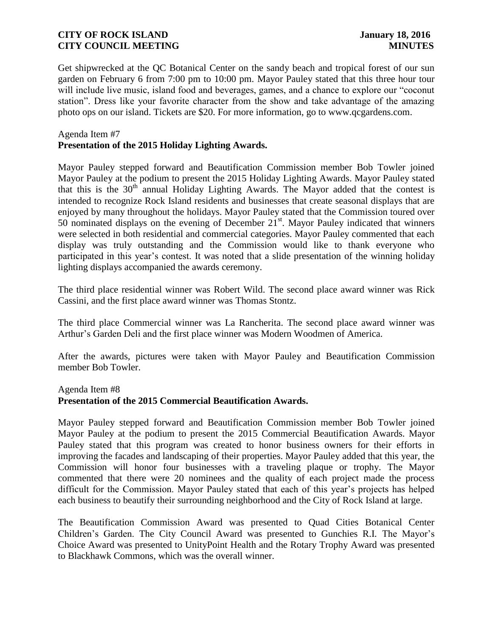Get shipwrecked at the QC Botanical Center on the sandy beach and tropical forest of our sun garden on February 6 from 7:00 pm to 10:00 pm. Mayor Pauley stated that this three hour tour will include live music, island food and beverages, games, and a chance to explore our "coconut station". Dress like your favorite character from the show and take advantage of the amazing photo ops on our island. Tickets are \$20. For more information, go to www.qcgardens.com.

### Agenda Item #7

# **Presentation of the 2015 Holiday Lighting Awards.**

Mayor Pauley stepped forward and Beautification Commission member Bob Towler joined Mayor Pauley at the podium to present the 2015 Holiday Lighting Awards. Mayor Pauley stated that this is the  $30<sup>th</sup>$  annual Holiday Lighting Awards. The Mayor added that the contest is intended to recognize Rock Island residents and businesses that create seasonal displays that are enjoyed by many throughout the holidays. Mayor Pauley stated that the Commission toured over 50 nominated displays on the evening of December  $21<sup>st</sup>$ . Mayor Pauley indicated that winners were selected in both residential and commercial categories. Mayor Pauley commented that each display was truly outstanding and the Commission would like to thank everyone who participated in this year's contest. It was noted that a slide presentation of the winning holiday lighting displays accompanied the awards ceremony.

The third place residential winner was Robert Wild. The second place award winner was Rick Cassini, and the first place award winner was Thomas Stontz.

The third place Commercial winner was La Rancherita. The second place award winner was Arthur's Garden Deli and the first place winner was Modern Woodmen of America.

After the awards, pictures were taken with Mayor Pauley and Beautification Commission member Bob Towler.

### Agenda Item #8

## **Presentation of the 2015 Commercial Beautification Awards.**

Mayor Pauley stepped forward and Beautification Commission member Bob Towler joined Mayor Pauley at the podium to present the 2015 Commercial Beautification Awards. Mayor Pauley stated that this program was created to honor business owners for their efforts in improving the facades and landscaping of their properties. Mayor Pauley added that this year, the Commission will honor four businesses with a traveling plaque or trophy. The Mayor commented that there were 20 nominees and the quality of each project made the process difficult for the Commission. Mayor Pauley stated that each of this year's projects has helped each business to beautify their surrounding neighborhood and the City of Rock Island at large.

The Beautification Commission Award was presented to Quad Cities Botanical Center Children's Garden. The City Council Award was presented to Gunchies R.I. The Mayor's Choice Award was presented to UnityPoint Health and the Rotary Trophy Award was presented to Blackhawk Commons, which was the overall winner.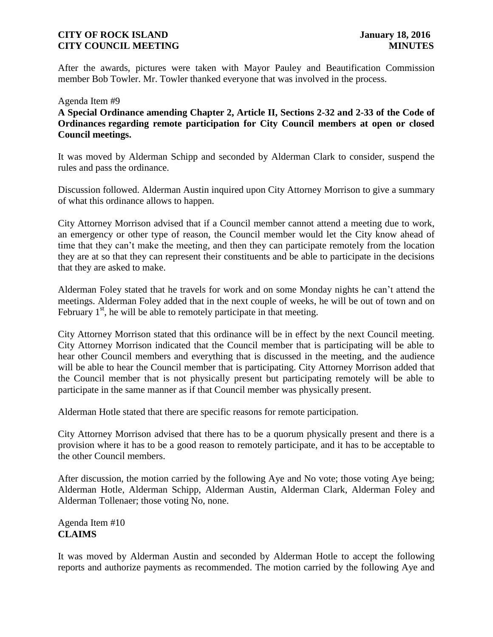After the awards, pictures were taken with Mayor Pauley and Beautification Commission member Bob Towler. Mr. Towler thanked everyone that was involved in the process.

Agenda Item #9 **A Special Ordinance amending Chapter 2, Article II, Sections 2-32 and 2-33 of the Code of Ordinances regarding remote participation for City Council members at open or closed Council meetings.**

It was moved by Alderman Schipp and seconded by Alderman Clark to consider, suspend the rules and pass the ordinance.

Discussion followed. Alderman Austin inquired upon City Attorney Morrison to give a summary of what this ordinance allows to happen.

City Attorney Morrison advised that if a Council member cannot attend a meeting due to work, an emergency or other type of reason, the Council member would let the City know ahead of time that they can't make the meeting, and then they can participate remotely from the location they are at so that they can represent their constituents and be able to participate in the decisions that they are asked to make.

Alderman Foley stated that he travels for work and on some Monday nights he can't attend the meetings. Alderman Foley added that in the next couple of weeks, he will be out of town and on February  $1<sup>st</sup>$ , he will be able to remotely participate in that meeting.

City Attorney Morrison stated that this ordinance will be in effect by the next Council meeting. City Attorney Morrison indicated that the Council member that is participating will be able to hear other Council members and everything that is discussed in the meeting, and the audience will be able to hear the Council member that is participating. City Attorney Morrison added that the Council member that is not physically present but participating remotely will be able to participate in the same manner as if that Council member was physically present.

Alderman Hotle stated that there are specific reasons for remote participation.

City Attorney Morrison advised that there has to be a quorum physically present and there is a provision where it has to be a good reason to remotely participate, and it has to be acceptable to the other Council members.

After discussion, the motion carried by the following Aye and No vote; those voting Aye being; Alderman Hotle, Alderman Schipp, Alderman Austin, Alderman Clark, Alderman Foley and Alderman Tollenaer; those voting No, none.

Agenda Item #10 **CLAIMS**

It was moved by Alderman Austin and seconded by Alderman Hotle to accept the following reports and authorize payments as recommended. The motion carried by the following Aye and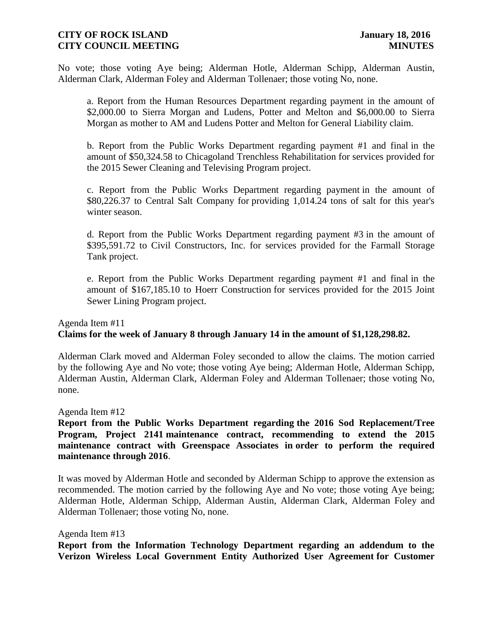No vote; those voting Aye being; Alderman Hotle, Alderman Schipp, Alderman Austin, Alderman Clark, Alderman Foley and Alderman Tollenaer; those voting No, none.

a. Report from the Human Resources Department regarding payment in the amount of \$2,000.00 to Sierra Morgan and Ludens, Potter and Melton and \$6,000.00 to Sierra Morgan as mother to AM and Ludens Potter and Melton for General Liability claim.

b. Report from the Public Works Department regarding payment #1 and final in the amount of \$50,324.58 to Chicagoland Trenchless Rehabilitation for services provided for the 2015 Sewer Cleaning and Televising Program project.

c. Report from the Public Works Department regarding payment in the amount of \$80,226.37 to Central Salt Company for providing 1,014.24 tons of salt for this year's winter season.

d. Report from the Public Works Department regarding payment #3 in the amount of \$395,591.72 to Civil Constructors, Inc. for services provided for the Farmall Storage Tank project.

e. Report from the Public Works Department regarding payment #1 and final in the amount of \$167,185.10 to Hoerr Construction for services provided for the 2015 Joint Sewer Lining Program project.

# Agenda Item #11 **Claims for the week of January 8 through January 14 in the amount of \$1,128,298.82.**

Alderman Clark moved and Alderman Foley seconded to allow the claims. The motion carried by the following Aye and No vote; those voting Aye being; Alderman Hotle, Alderman Schipp, Alderman Austin, Alderman Clark, Alderman Foley and Alderman Tollenaer; those voting No, none.

Agenda Item #12

**Report from the Public Works Department regarding the 2016 Sod Replacement/Tree Program, Project 2141 maintenance contract, recommending to extend the 2015 maintenance contract with Greenspace Associates in order to perform the required maintenance through 2016**.

It was moved by Alderman Hotle and seconded by Alderman Schipp to approve the extension as recommended. The motion carried by the following Aye and No vote; those voting Aye being; Alderman Hotle, Alderman Schipp, Alderman Austin, Alderman Clark, Alderman Foley and Alderman Tollenaer; those voting No, none.

Agenda Item #13

**Report from the Information Technology Department regarding an addendum to the Verizon Wireless Local Government Entity Authorized User Agreement for Customer**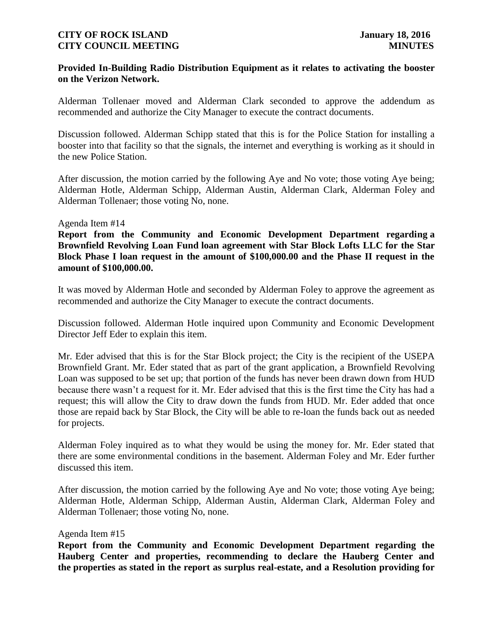## **Provided In-Building Radio Distribution Equipment as it relates to activating the booster on the Verizon Network.**

Alderman Tollenaer moved and Alderman Clark seconded to approve the addendum as recommended and authorize the City Manager to execute the contract documents.

Discussion followed. Alderman Schipp stated that this is for the Police Station for installing a booster into that facility so that the signals, the internet and everything is working as it should in the new Police Station.

After discussion, the motion carried by the following Aye and No vote; those voting Aye being; Alderman Hotle, Alderman Schipp, Alderman Austin, Alderman Clark, Alderman Foley and Alderman Tollenaer; those voting No, none.

### Agenda Item #14

**Report from the Community and Economic Development Department regarding a Brownfield Revolving Loan Fund loan agreement with Star Block Lofts LLC for the Star Block Phase I loan request in the amount of \$100,000.00 and the Phase II request in the amount of \$100,000.00.** 

It was moved by Alderman Hotle and seconded by Alderman Foley to approve the agreement as recommended and authorize the City Manager to execute the contract documents.

Discussion followed. Alderman Hotle inquired upon Community and Economic Development Director Jeff Eder to explain this item.

Mr. Eder advised that this is for the Star Block project; the City is the recipient of the USEPA Brownfield Grant. Mr. Eder stated that as part of the grant application, a Brownfield Revolving Loan was supposed to be set up; that portion of the funds has never been drawn down from HUD because there wasn't a request for it. Mr. Eder advised that this is the first time the City has had a request; this will allow the City to draw down the funds from HUD. Mr. Eder added that once those are repaid back by Star Block, the City will be able to re-loan the funds back out as needed for projects.

Alderman Foley inquired as to what they would be using the money for. Mr. Eder stated that there are some environmental conditions in the basement. Alderman Foley and Mr. Eder further discussed this item.

After discussion, the motion carried by the following Aye and No vote; those voting Aye being; Alderman Hotle, Alderman Schipp, Alderman Austin, Alderman Clark, Alderman Foley and Alderman Tollenaer; those voting No, none.

### Agenda Item #15

**Report from the Community and Economic Development Department regarding the Hauberg Center and properties, recommending to declare the Hauberg Center and the properties as stated in the report as surplus real-estate, and a Resolution providing for**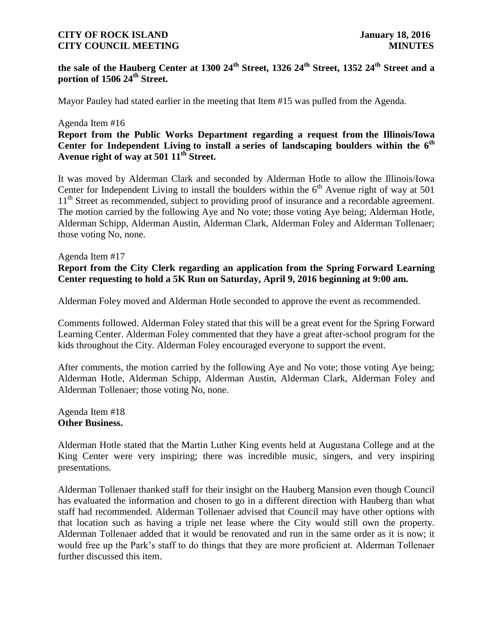# **the sale of the Hauberg Center at 1300 24th Street, 1326 24th Street, 1352 24th Street and a portion of 1506 24th Street.**

Mayor Pauley had stated earlier in the meeting that Item #15 was pulled from the Agenda.

#### Agenda Item #16

# **Report from the Public Works Department regarding a request from the Illinois/Iowa Center for Independent Living to install a series of landscaping boulders within the 6th Avenue right of way at 501 11th Street.**

It was moved by Alderman Clark and seconded by Alderman Hotle to allow the Illinois/Iowa Center for Independent Living to install the boulders within the  $6<sup>th</sup>$  Avenue right of way at 501 11<sup>th</sup> Street as recommended, subject to providing proof of insurance and a recordable agreement. The motion carried by the following Aye and No vote; those voting Aye being; Alderman Hotle, Alderman Schipp, Alderman Austin, Alderman Clark, Alderman Foley and Alderman Tollenaer; those voting No, none.

# Agenda Item #17 **Report from the City Clerk regarding an application from the Spring Forward Learning Center requesting to hold a 5K Run on Saturday, April 9, 2016 beginning at 9:00 am.**

Alderman Foley moved and Alderman Hotle seconded to approve the event as recommended.

Comments followed. Alderman Foley stated that this will be a great event for the Spring Forward Learning Center. Alderman Foley commented that they have a great after-school program for the kids throughout the City. Alderman Foley encouraged everyone to support the event.

After comments, the motion carried by the following Aye and No vote; those voting Aye being; Alderman Hotle, Alderman Schipp, Alderman Austin, Alderman Clark, Alderman Foley and Alderman Tollenaer; those voting No, none.

Agenda Item #18 **Other Business.**

Alderman Hotle stated that the Martin Luther King events held at Augustana College and at the King Center were very inspiring; there was incredible music, singers, and very inspiring presentations.

Alderman Tollenaer thanked staff for their insight on the Hauberg Mansion even though Council has evaluated the information and chosen to go in a different direction with Hauberg than what staff had recommended. Alderman Tollenaer advised that Council may have other options with that location such as having a triple net lease where the City would still own the property. Alderman Tollenaer added that it would be renovated and run in the same order as it is now; it would free up the Park's staff to do things that they are more proficient at. Alderman Tollenaer further discussed this item.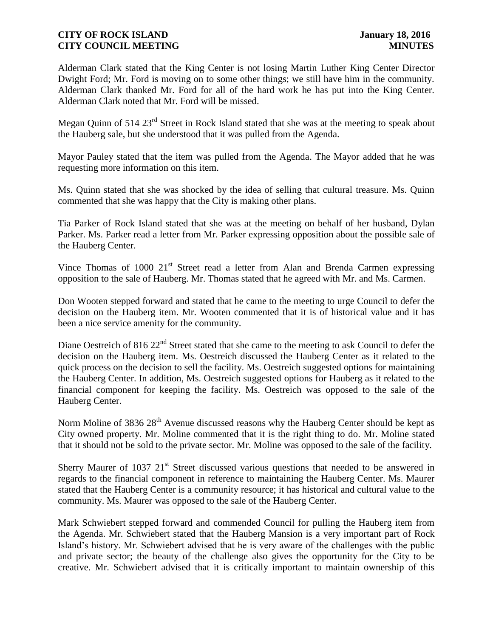Alderman Clark stated that the King Center is not losing Martin Luther King Center Director Dwight Ford; Mr. Ford is moving on to some other things; we still have him in the community. Alderman Clark thanked Mr. Ford for all of the hard work he has put into the King Center. Alderman Clark noted that Mr. Ford will be missed.

Megan Quinn of 514 23<sup>rd</sup> Street in Rock Island stated that she was at the meeting to speak about the Hauberg sale, but she understood that it was pulled from the Agenda.

Mayor Pauley stated that the item was pulled from the Agenda. The Mayor added that he was requesting more information on this item.

Ms. Quinn stated that she was shocked by the idea of selling that cultural treasure. Ms. Quinn commented that she was happy that the City is making other plans.

Tia Parker of Rock Island stated that she was at the meeting on behalf of her husband, Dylan Parker. Ms. Parker read a letter from Mr. Parker expressing opposition about the possible sale of the Hauberg Center.

Vince Thomas of 1000 21<sup>st</sup> Street read a letter from Alan and Brenda Carmen expressing opposition to the sale of Hauberg. Mr. Thomas stated that he agreed with Mr. and Ms. Carmen.

Don Wooten stepped forward and stated that he came to the meeting to urge Council to defer the decision on the Hauberg item. Mr. Wooten commented that it is of historical value and it has been a nice service amenity for the community.

Diane Oestreich of 816 22<sup>nd</sup> Street stated that she came to the meeting to ask Council to defer the decision on the Hauberg item. Ms. Oestreich discussed the Hauberg Center as it related to the quick process on the decision to sell the facility. Ms. Oestreich suggested options for maintaining the Hauberg Center. In addition, Ms. Oestreich suggested options for Hauberg as it related to the financial component for keeping the facility. Ms. Oestreich was opposed to the sale of the Hauberg Center.

Norm Moline of 3836 28<sup>th</sup> Avenue discussed reasons why the Hauberg Center should be kept as City owned property. Mr. Moline commented that it is the right thing to do. Mr. Moline stated that it should not be sold to the private sector. Mr. Moline was opposed to the sale of the facility.

Sherry Maurer of 1037  $21<sup>st</sup>$  Street discussed various questions that needed to be answered in regards to the financial component in reference to maintaining the Hauberg Center. Ms. Maurer stated that the Hauberg Center is a community resource; it has historical and cultural value to the community. Ms. Maurer was opposed to the sale of the Hauberg Center.

Mark Schwiebert stepped forward and commended Council for pulling the Hauberg item from the Agenda. Mr. Schwiebert stated that the Hauberg Mansion is a very important part of Rock Island's history. Mr. Schwiebert advised that he is very aware of the challenges with the public and private sector; the beauty of the challenge also gives the opportunity for the City to be creative. Mr. Schwiebert advised that it is critically important to maintain ownership of this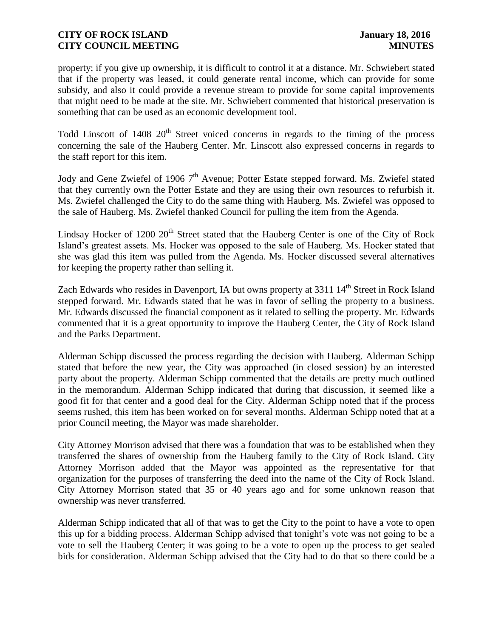property; if you give up ownership, it is difficult to control it at a distance. Mr. Schwiebert stated that if the property was leased, it could generate rental income, which can provide for some subsidy, and also it could provide a revenue stream to provide for some capital improvements that might need to be made at the site. Mr. Schwiebert commented that historical preservation is something that can be used as an economic development tool.

Todd Linscott of  $1408 \, 20^{th}$  Street voiced concerns in regards to the timing of the process concerning the sale of the Hauberg Center. Mr. Linscott also expressed concerns in regards to the staff report for this item.

Jody and Gene Zwiefel of 1906 7<sup>th</sup> Avenue; Potter Estate stepped forward. Ms. Zwiefel stated that they currently own the Potter Estate and they are using their own resources to refurbish it. Ms. Zwiefel challenged the City to do the same thing with Hauberg. Ms. Zwiefel was opposed to the sale of Hauberg. Ms. Zwiefel thanked Council for pulling the item from the Agenda.

Lindsay Hocker of 1200  $20<sup>th</sup>$  Street stated that the Hauberg Center is one of the City of Rock Island's greatest assets. Ms. Hocker was opposed to the sale of Hauberg. Ms. Hocker stated that she was glad this item was pulled from the Agenda. Ms. Hocker discussed several alternatives for keeping the property rather than selling it.

Zach Edwards who resides in Davenport, IA but owns property at 3311 14<sup>th</sup> Street in Rock Island stepped forward. Mr. Edwards stated that he was in favor of selling the property to a business. Mr. Edwards discussed the financial component as it related to selling the property. Mr. Edwards commented that it is a great opportunity to improve the Hauberg Center, the City of Rock Island and the Parks Department.

Alderman Schipp discussed the process regarding the decision with Hauberg. Alderman Schipp stated that before the new year, the City was approached (in closed session) by an interested party about the property. Alderman Schipp commented that the details are pretty much outlined in the memorandum. Alderman Schipp indicated that during that discussion, it seemed like a good fit for that center and a good deal for the City. Alderman Schipp noted that if the process seems rushed, this item has been worked on for several months. Alderman Schipp noted that at a prior Council meeting, the Mayor was made shareholder.

City Attorney Morrison advised that there was a foundation that was to be established when they transferred the shares of ownership from the Hauberg family to the City of Rock Island. City Attorney Morrison added that the Mayor was appointed as the representative for that organization for the purposes of transferring the deed into the name of the City of Rock Island. City Attorney Morrison stated that 35 or 40 years ago and for some unknown reason that ownership was never transferred.

Alderman Schipp indicated that all of that was to get the City to the point to have a vote to open this up for a bidding process. Alderman Schipp advised that tonight's vote was not going to be a vote to sell the Hauberg Center; it was going to be a vote to open up the process to get sealed bids for consideration. Alderman Schipp advised that the City had to do that so there could be a